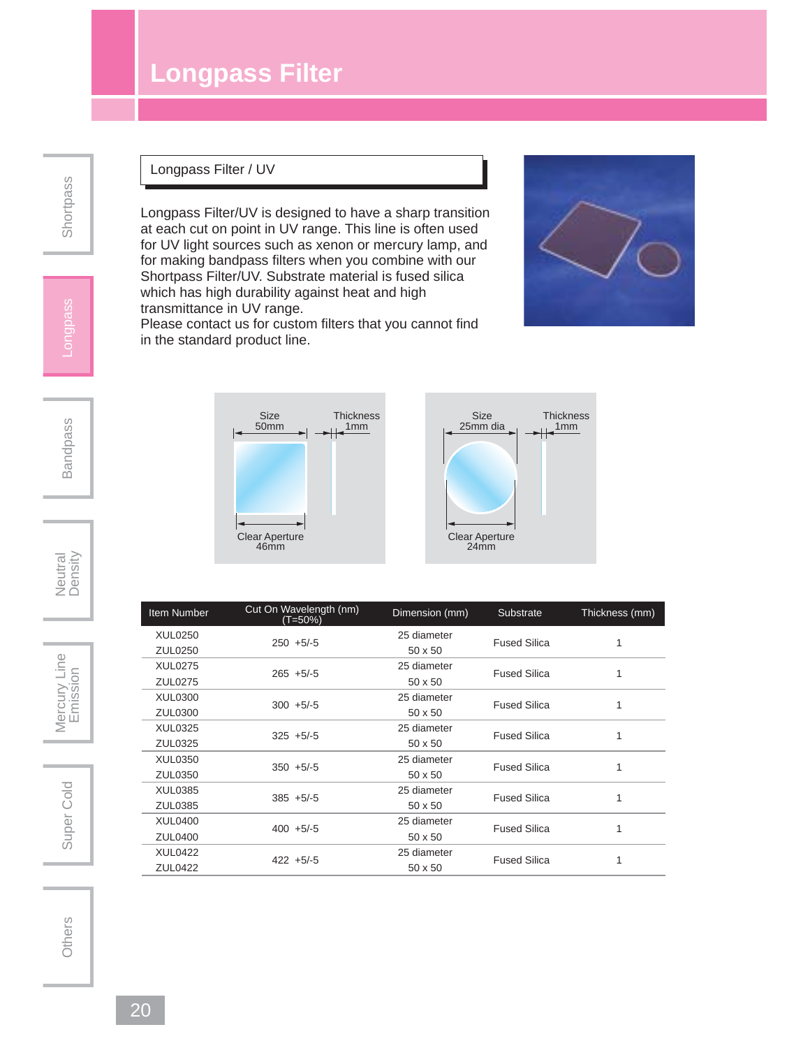## **Longpass Filter**

Longpass Filter/UV is designed to have a sharp transition at each cut on point in UV range. This line is often used for UV light sources such as xenon or mercury lamp, and for making bandpass filters when you combine with our Shortpass Filter/UV. Substrate material is fused silica which has high durability against heat and high

Please contact us for custom filters that you cannot find

**Thickness**  $\frac{1}{\sqrt{2}}$ 

Longpass Filter / UV

transmittance in UV range.

in the standard product line.

Size 50mm

Clear Aperture 46mm

## Shortpass

## Longpass





Super Cold

|  | Item Number    | Cut On Wavelength (nm)<br>(T=50%) | Dimension (mm) | Substrate           | Thickness (mm) |
|--|----------------|-----------------------------------|----------------|---------------------|----------------|
|  | XUL0250        | $250 + 5/-5$                      | 25 diameter    | <b>Fused Silica</b> | 1              |
|  | ZUL0250        |                                   | 50 x 50        |                     |                |
|  | <b>XUL0275</b> | $265 + 5/-5$                      | 25 diameter    | <b>Fused Silica</b> |                |
|  | ZUL0275        |                                   | 50 x 50        |                     |                |
|  | <b>XUL0300</b> | $300 + 5/-5$                      | 25 diameter    | <b>Fused Silica</b> | 1              |
|  | ZUL0300        |                                   | 50 x 50        |                     |                |
|  | XUL0325        | $325 + 5/-5$                      | 25 diameter    | <b>Fused Silica</b> |                |
|  | ZUL0325        |                                   | 50 x 50        |                     |                |
|  | XUL0350        | $350 + 5/-5$                      | 25 diameter    | <b>Fused Silica</b> |                |
|  | ZUL0350        |                                   | 50 x 50        |                     |                |
|  | XUL0385        | $385 + 5/-5$                      | 25 diameter    | <b>Fused Silica</b> | 1              |
|  | ZUL0385        |                                   | 50 x 50        |                     |                |
|  | <b>XUL0400</b> | $400 + 5/-5$                      | 25 diameter    | <b>Fused Silica</b> | 1              |
|  | ZUL0400        |                                   | 50 x 50        |                     |                |
|  | <b>XUL0422</b> |                                   | 25 diameter    | <b>Fused Silica</b> |                |
|  | ZUL0422        | $422 + 5/-5$                      | 50 x 50        |                     |                |

Size 25mm dia

Clear Aperture 24mm

**Thickness**  $\frac{1}{2}$  1mm

Mercury Line Super Cold | | Mercury Line<br>
Emission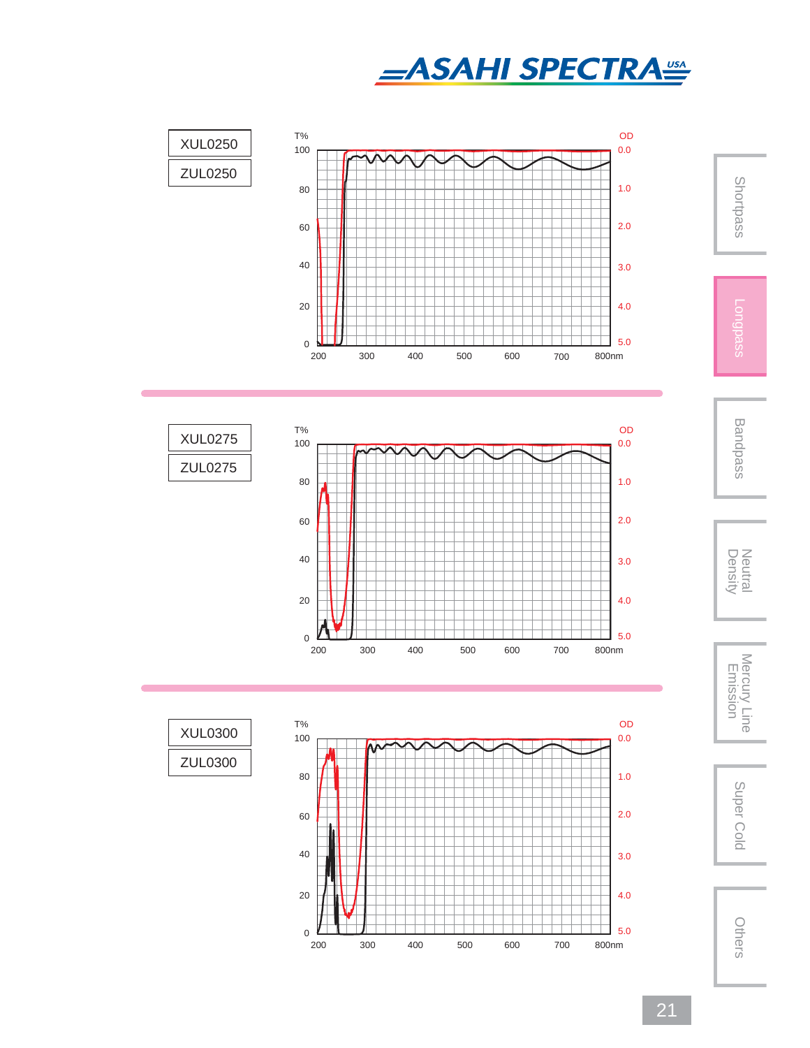









Shortpass



Density Neutral Mercury Line Emission Super ColdMercury Line<br>Emission

Super Cold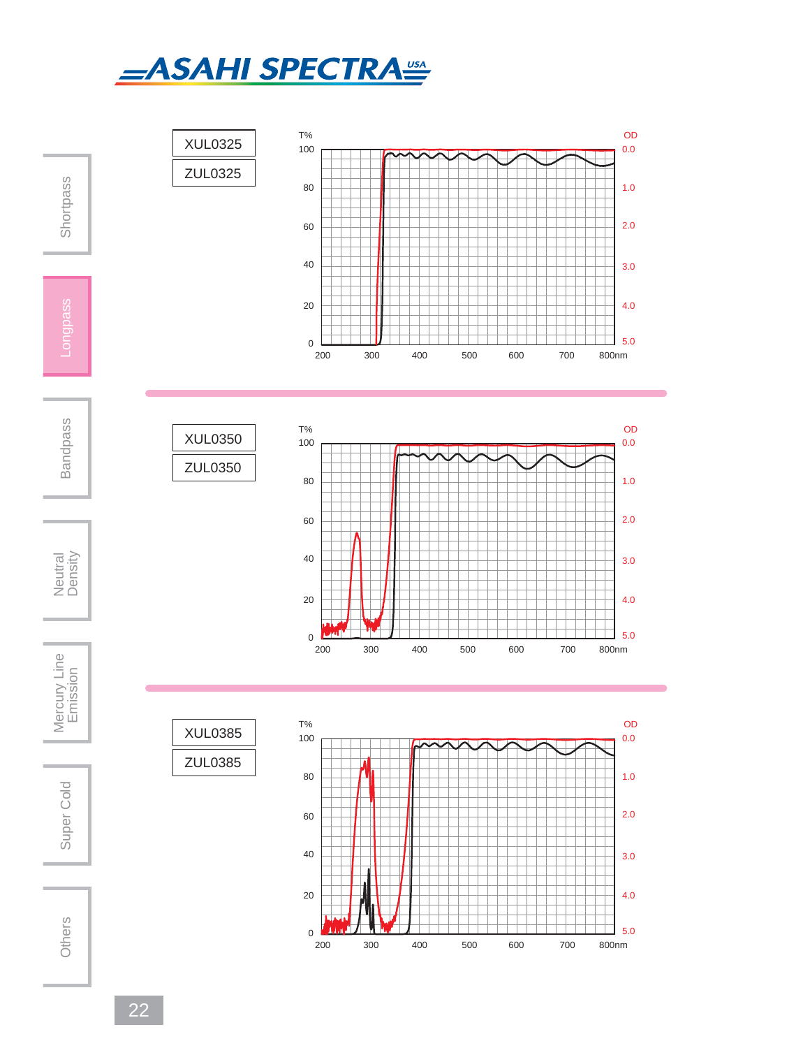



22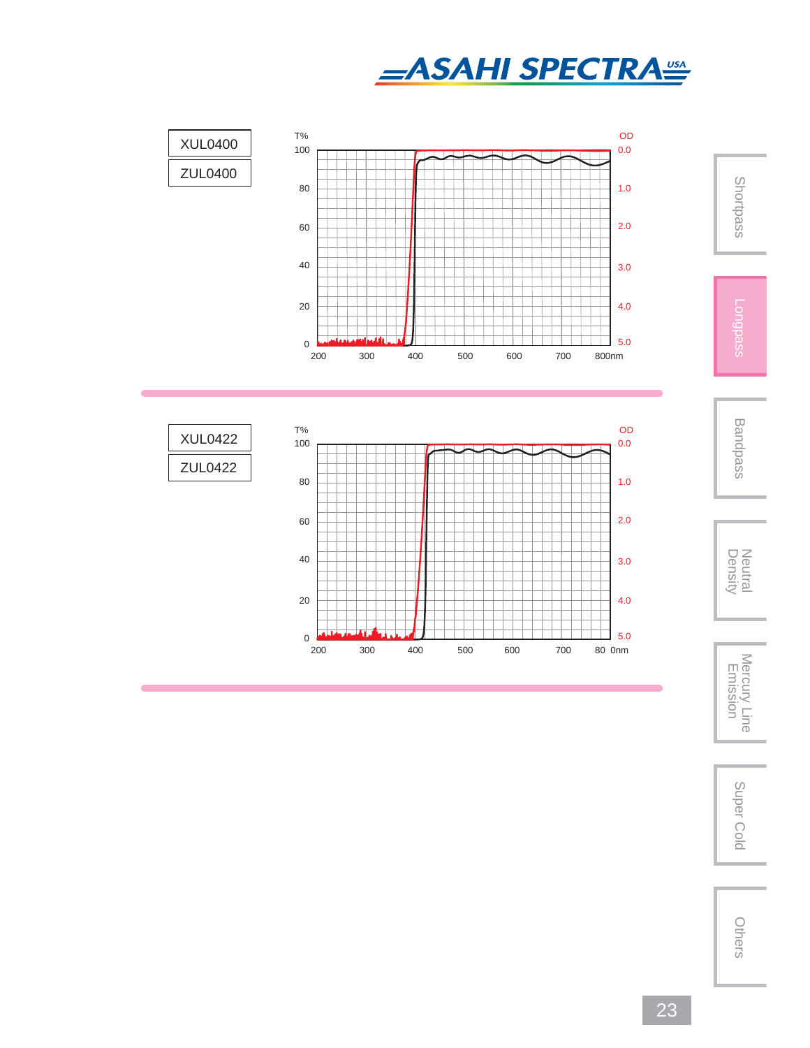





Bandpass

Shortpass

Neutral<br>Density

Density Neutral Mercury Line Emission Super ColdMercury Line<br>Emission

Super Cold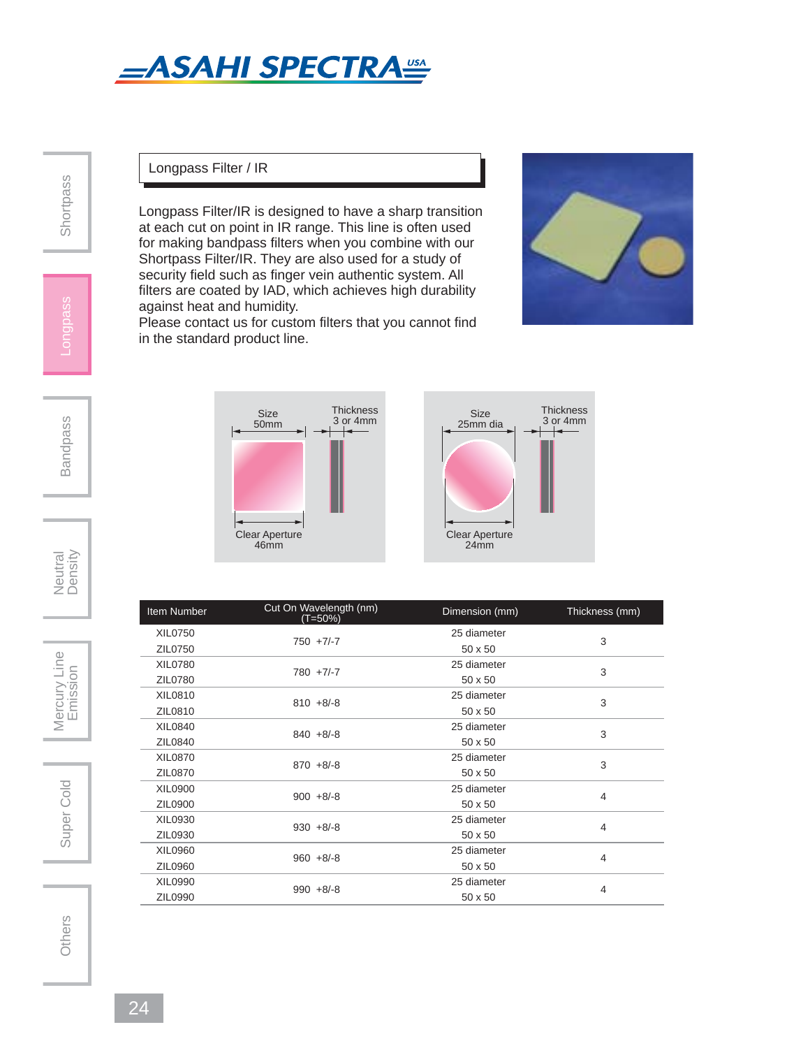

Longpass Filter / IR

Longpass Filter/IR is designed to have a sharp transition at each cut on point in IR range. This line is often used for making bandpass filters when you combine with our Shortpass Filter/IR. They are also used for a study of security field such as finger vein authentic system. All filters are coated by IAD, which achieves high durability against heat and humidity.

Please contact us for custom filters that you cannot find in the standard product line.





Item Number Cut On Wavelength (nm) Dimension (mm) Thickness (mm) XIL0750<br>
750 +7/-7<br>
750 +7/-7 25 diameter 3<br> $50 \times 50$ ZIL0750 XIL0780 780 +7/-7  $25$  diameter  $3$ <br> $50 \times 50$ ZIL0780  $XIL0810$ <br> $W10.810 + 8/8$ 25 diameter 3<br> $50 \times 50$ ZIL0810 XIL0840 840 +8/-8  $25$  diameter  $3$ <br> $50 \times 50$ ZIL0840 50 x 50 XIL0870<br>  $\frac{1}{2}$  870 +8/-8 25 diameter 3<br> $50 \times 50$ ZIL0870 XIL0900<br>ZIL0900 900 +8/-8  $25$  diameter  $4$ ZIL0900 50 x 50 XIL0930 930 +8/-8  $25$  diameter  $4$ ZIL0930 XIL0960 960 +8/-8  $25$  diameter  $4$ ZIL0960 XIL0990 990 +8/-8  $25$  diameter  $4$ ZIL0990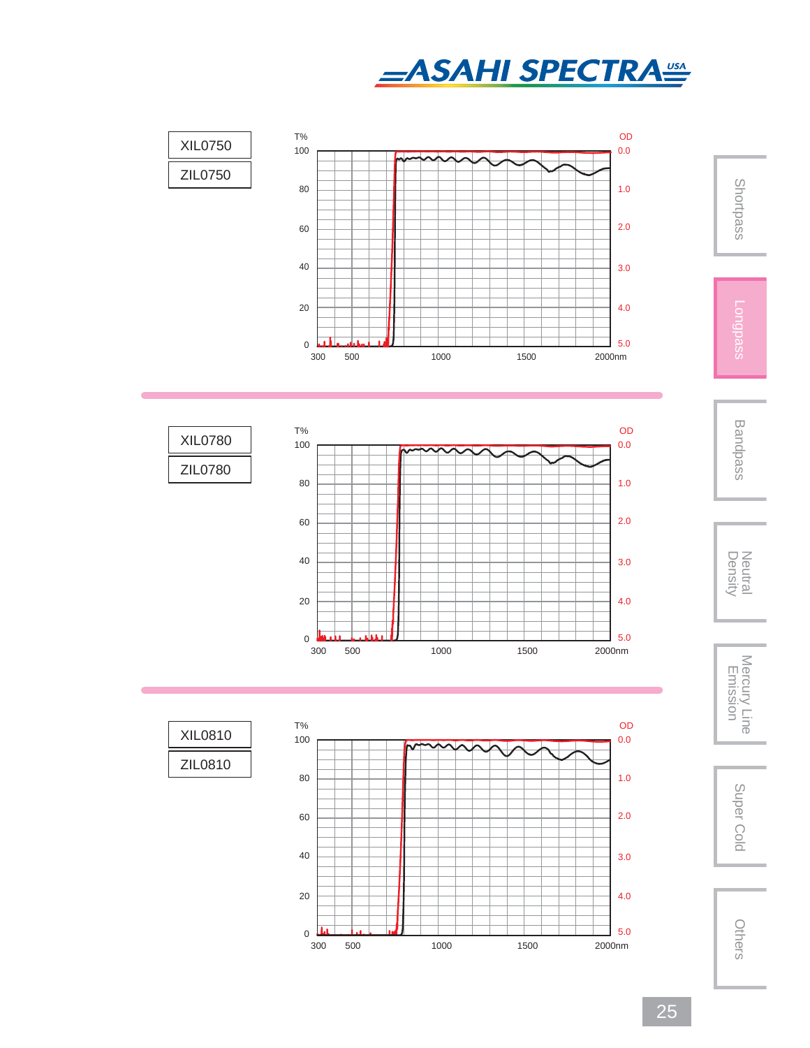









Shortpass

Neutral<br>Density



Super Cold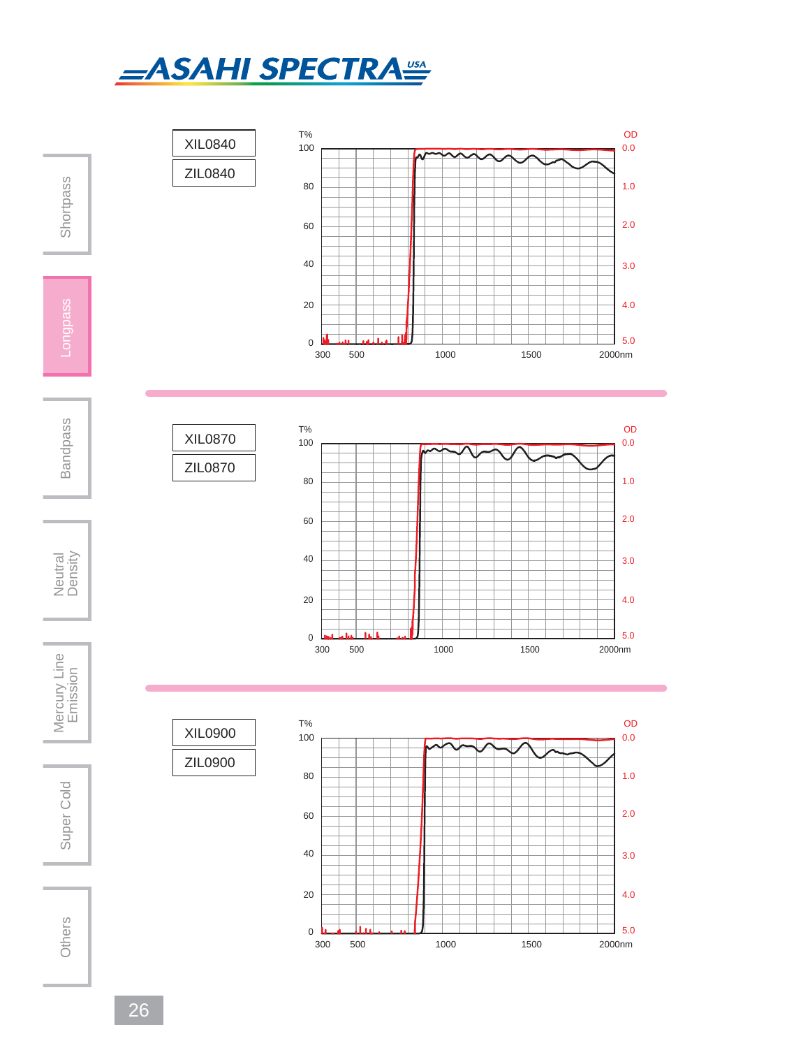